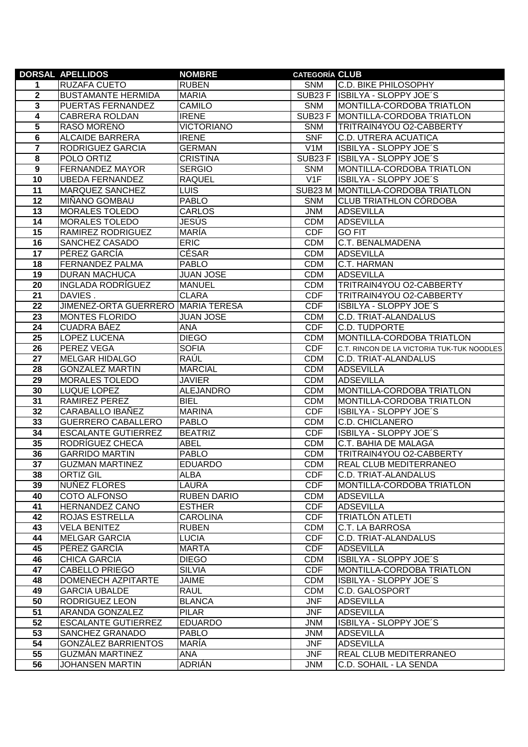|                         | <b>DORSAL APELLIDOS</b>            | <b>NOMBRE</b>                 | <b>CATEGORÍA CLUB</b>    |                                                |
|-------------------------|------------------------------------|-------------------------------|--------------------------|------------------------------------------------|
| 1                       | RUZAFA CUETO                       | <b>RUBEN</b>                  | <b>SNM</b>               | C.D. BIKE PHILOSOPHY                           |
| $\overline{\mathbf{2}}$ | <b>BUSTAMANTE HERMIDA</b>          | <b>MARIA</b>                  |                          | SUB23 F ISBILYA - SLOPPY JOE'S                 |
| 3                       | PUERTAS FERNANDEZ                  | <b>CAMILO</b>                 | <b>SNM</b>               | MONTILLA-CORDOBA TRIATLON                      |
| 4                       | <b>CABRERA ROLDAN</b>              | <b>IRENE</b>                  | SUB <sub>23</sub> F      | MONTILLA-CORDOBA TRIATLON                      |
| 5                       | <b>RASO MORENO</b>                 | <b>VICTORIANO</b>             | <b>SNM</b>               | TRITRAIN4YOU O2-CABBERTY                       |
| 6                       | <b>ALCAIDE BARRERA</b>             | <b>IRENE</b>                  | <b>SNF</b>               | C.D. UTRERA ACUATICA                           |
| $\overline{\mathbf{r}}$ | RODRIGUEZ GARCIA                   | <b>GERMAN</b>                 | V <sub>1</sub> M         | ISBILYA - SLOPPY JOE'S                         |
| 8                       | POLO ORTIZ                         | <b>CRISTINA</b>               |                          | SUB23 F ISBILYA - SLOPPY JOE'S                 |
| $\overline{9}$          | <b>FERNANDEZ MAYOR</b>             | <b>SERGIO</b>                 | <b>SNM</b>               | MONTILLA-CORDOBA TRIATLON                      |
| 10                      | <b>UBEDA FERNANDEZ</b>             | <b>RAQUEL</b>                 | V1F                      | ISBILYA - SLOPPY JOE'S                         |
| 11                      | MARQUEZ SANCHEZ                    | <b>LUIS</b>                   |                          | SUB23 M MONTILLA-CORDOBA TRIATLON              |
| $\overline{12}$         | MIÑANO GOMBAU                      | <b>PABLO</b>                  | <b>SNM</b>               | <b>CLUB TRIATHLON CÓRDOBA</b>                  |
| 13                      | MORALES TOLEDO                     | <b>CARLOS</b>                 | <b>JNM</b>               | <b>ADSEVILLA</b>                               |
| 14                      | MORALES TOLEDO                     | JESÚS                         | <b>CDM</b>               | <b>ADSEVILLA</b>                               |
| 15                      | RAMIREZ RODRIGUEZ                  | <b>MARIA</b>                  | <b>CDF</b>               | <b>GO FIT</b>                                  |
| 16                      | SANCHEZ CASADO                     | <b>ERIC</b>                   | <b>CDM</b>               | C.T. BENALMADENA                               |
| 17                      | PÉREZ GARCIA                       | <b>CÉSAR</b>                  | <b>CDM</b>               | <b>ADSEVILLA</b>                               |
| 18                      | FERNANDEZ PALMA                    | <b>PABLO</b>                  | <b>CDM</b>               | C.T. HARMAN                                    |
| 19                      | <b>DURAN MACHUCA</b>               | <b>JUAN JOSE</b>              | <b>CDM</b>               | <b>ADSEVILLA</b>                               |
| 20                      | <b>INGLADA RODRÍGUEZ</b>           | <b>MANUEL</b>                 | <b>CDM</b>               | TRITRAIN4YOU O2-CABBERTY                       |
| 21                      | DAVIES.                            | <b>CLARA</b>                  | <b>CDF</b>               | TRITRAIN4YOU O2-CABBERTY                       |
| 22                      | JIMENEZ-ORTA GUERRERO MARIA TERESA |                               | <b>CDF</b>               | <b>ISBILYA - SLOPPY JOE'S</b>                  |
| 23                      | <b>MONTES FLORIDO</b>              | <b>JUAN JOSE</b>              | <b>CDM</b>               | C.D. TRIAT-ALANDALUS                           |
| 24                      | CUADRA BÁEZ                        | <b>ANA</b>                    | <b>CDF</b>               | C.D. TUDPORTE                                  |
| 25                      | LOPEZ LUCENA                       | <b>DIEGO</b>                  | <b>CDM</b>               | MONTILLA-CORDOBA TRIATLON                      |
| 26                      | PEREZ VEGA                         | <b>SOFIA</b>                  | <b>CDF</b>               | C.T. RINCON DE LA VICTORIA TUK-TUK NOODLES     |
| 27                      | <b>MELGAR HIDALGO</b>              | RAÚL                          | <b>CDM</b>               | C.D. TRIAT-ALANDALUS                           |
| 28                      | <b>GONZALEZ MARTIN</b>             | <b>MARCIAL</b>                | <b>CDM</b>               | <b>ADSEVILLA</b>                               |
| 29                      | <b>MORALES TOLEDO</b>              | <b>JAVIER</b>                 | <b>CDM</b>               | <b>ADSEVILLA</b>                               |
| 30                      | LUQUE LOPEZ                        | <b>ALEJANDRO</b>              | <b>CDM</b>               | MONTILLA-CORDOBA TRIATLON                      |
| 31                      | RAMIREZ PEREZ                      | <b>BIEL</b>                   | <b>CDM</b>               | MONTILLA-CORDOBA TRIATLON                      |
| 32                      | CARABALLO IBAÑEZ                   | <b>MARINA</b>                 | <b>CDF</b>               | ISBILYA - SLOPPY JOE'S                         |
| 33                      | <b>GUERRERO CABALLERO</b>          | <b>PABLO</b>                  | <b>CDM</b>               | C.D. CHICLANERO                                |
| 34                      | <b>ESCALANTE GUTIERREZ</b>         | <b>BEATRIZ</b>                | <b>CDF</b>               | ISBILYA - SLOPPY JOE'S                         |
| 35                      | RODRÍGUEZ CHECA                    | <b>ABEL</b>                   | <b>CDM</b>               | C.T. BAHIA DE MALAGA                           |
| 36                      | <b>GARRIDO MARTIN</b>              | <b>PABLO</b>                  | <b>CDM</b>               | TRITRAIN4YOU O2-CABBERTY                       |
| $\overline{37}$<br>38   | <b>GUZMAN MARTINEZ</b>             | <b>EDUARDO</b><br><b>ALBA</b> | <b>CDM</b><br><b>CDF</b> | REAL CLUB MEDITERRANEO<br>C.D. TRIAT-ALANDALUS |
| 39                      | <b>ORTIZ GIL</b><br>NUÑEZ FLORES   | LAURA                         | <b>CDF</b>               |                                                |
| 40                      | COTO ALFONSO                       | <b>RUBEN DARIO</b>            | <b>CDM</b>               | MONTILLA-CORDOBA TRIATLON<br><b>ADSEVILLA</b>  |
| 41                      | <b>HERNANDEZ CANO</b>              | <b>ESTHER</b>                 | <b>CDF</b>               | <b>ADSEVILLA</b>                               |
| 42                      | ROJAS ESTRELLA                     | CAROLINA                      | <b>CDF</b>               | TRIATLÓN ATLETI                                |
| 43                      | VELA BENITEZ                       | <b>RUBEN</b>                  | <b>CDM</b>               | C.T. LA BARROSA                                |
| 44                      | <b>MELGAR GARCIA</b>               | <b>LUCIA</b>                  | <b>CDF</b>               | C.D. TRIAT-ALANDALUS                           |
| 45                      | PÉREZ GARCÍA                       | <b>MARTA</b>                  | <b>CDF</b>               | <b>ADSEVILLA</b>                               |
| 46                      | <b>CHICA GARCIA</b>                | <b>DIEGO</b>                  | <b>CDM</b>               | ISBILYA - SLOPPY JOE'S                         |
| 47                      | <b>CABELLO PRIEGO</b>              | <b>SILVIA</b>                 | <b>CDF</b>               | MONTILLA-CORDOBA TRIATLON                      |
| 48                      | DOMENECH AZPITARTE                 | <b>JAIME</b>                  | <b>CDM</b>               | ISBILYA - SLOPPY JOE'S                         |
| 49                      | <b>GARCIA UBALDE</b>               | <b>RAUL</b>                   | <b>CDM</b>               | <b>C.D. GALOSPORT</b>                          |
| 50                      | RODRIGUEZ LEON                     | <b>BLANCA</b>                 | <b>JNF</b>               | <b>ADSEVILLA</b>                               |
| $\overline{51}$         | ARANDA GONZALEZ                    | <b>PILAR</b>                  | <b>JNF</b>               | <b>ADSEVILLA</b>                               |
| 52                      | <b>ESCALANTE GUTIERREZ</b>         | <b>EDUARDO</b>                | <b>JNM</b>               | ISBILYA - SLOPPY JOE'S                         |
| 53                      | SANCHEZ GRANADO                    | <b>PABLO</b>                  | <b>JNM</b>               | <b>ADSEVILLA</b>                               |
| 54                      | GONZÁLEZ BARRIENTOS                | <b>MARÍA</b>                  | <b>JNF</b>               | <b>ADSEVILLA</b>                               |
| 55                      | <b>GUZMÁN MARTINEZ</b>             | <b>ANA</b>                    | <b>JNF</b>               | REAL CLUB MEDITERRANEO                         |
| 56                      | <b>JOHANSEN MARTIN</b>             | <b>ADRIÁN</b>                 | JNM                      | C.D. SOHAIL - LA SENDA                         |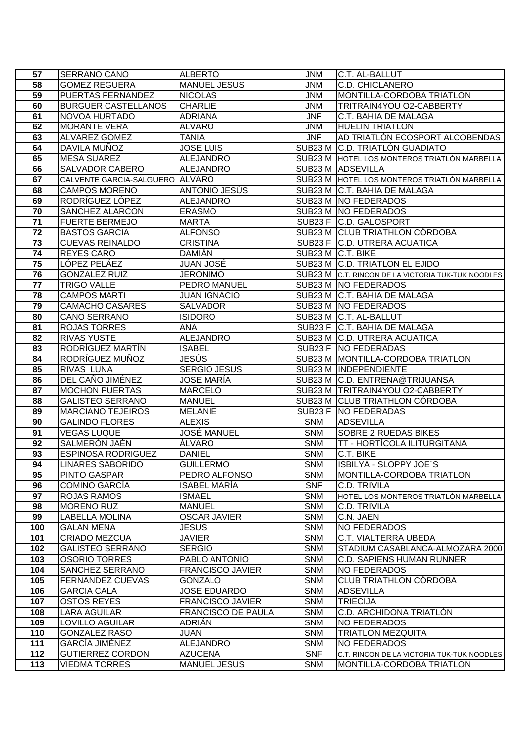| 57              | <b>SERRANO CANO</b>                         | <b>ALBERTO</b>                      | <b>JNM</b>               | C.T. AL-BALLUT                                     |
|-----------------|---------------------------------------------|-------------------------------------|--------------------------|----------------------------------------------------|
| 58              | <b>GOMEZ REGUERA</b>                        | <b>MANUEL JESUS</b>                 | <b>JNM</b>               | C.D. CHICLANERO                                    |
| 59              | PUERTAS FERNANDEZ                           | <b>NICOLAS</b>                      | <b>JNM</b>               | MONTILLA-CORDOBA TRIATLON                          |
| 60              | <b>BURGUER CASTELLANOS</b>                  | <b>CHARLIE</b>                      | <b>JNM</b>               | TRITRAIN4YOU O2-CABBERTY                           |
| 61              | NOVOA HURTADO                               | <b>ADRIANA</b>                      | <b>JNF</b>               | C.T. BAHIA DE MALAGA                               |
| 62              | <b>MORANTE VERA</b>                         | ÁLVARO                              | <b>JNM</b>               | HUELIN TRIATLÓN                                    |
| 63              | <b>ALVAREZ GOMEZ</b>                        | <b>TANIA</b>                        | <b>JNF</b>               | AD TRIATLÓN ECOSPORT ALCOBENDAS                    |
| 64              | DAVILA MUÑOZ                                | <b>JOSE LUIS</b>                    |                          | SUB23 M C.D. TRIATLÓN GUADIATO                     |
| 65              | <b>MESA SUAREZ</b>                          | <b>ALEJANDRO</b>                    |                          | SUB23 M HOTEL LOS MONTEROS TRIATLÓN MARBELLA       |
| 66              | <b>SALVADOR CABERO</b>                      | <b>ALEJANDRO</b>                    |                          | SUB23 M ADSEVILLA                                  |
| 67              | CALVENTE GARCIA-SALGUERO ALVARO             |                                     |                          | SUB23 M HOTEL LOS MONTEROS TRIATLÓN MARBELLA       |
| 68              | <b>CAMPOS MORENO</b>                        | <b>ANTONIO JESÚS</b>                |                          | SUB23 M C.T. BAHIA DE MALAGA                       |
| 69              | RODRÍGUEZ LÓPEZ                             | <b>ALEJANDRO</b>                    |                          | SUB23 M NO FEDERADOS                               |
| 70              | <b>SANCHEZ ALARCON</b>                      | <b>ERASMO</b>                       |                          | SUB23 M   NO FEDERADOS                             |
| 71              | <b>FUERTE BERMEJO</b>                       | <b>MARTA</b>                        |                          | SUB23 F C.D. GALOSPORT                             |
| 72              | <b>BASTOS GARCIA</b>                        | <b>ALFONSO</b>                      |                          | SUB23 M CLUB TRIATHLON CÓRDOBA                     |
| 73              | <b>CUEVAS REINALDO</b>                      | <b>CRISTINA</b>                     |                          | SUB23 F C.D. UTRERA ACUATICA                       |
| 74              | <b>REYES CARO</b>                           | <b>DAMIÁN</b>                       | SUB23 M C.T. BIKE        |                                                    |
| 75              | LÓPEZ PELÁEZ                                | JUAN JOSÉ                           |                          | SUB23 M C.D. TRIATLON EL EJIDO                     |
| 76              | <b>GONZALEZ RUIZ</b>                        | <b>JERONIMO</b>                     |                          | SUB23 M C.T. RINCON DE LA VICTORIA TUK-TUK NOODLES |
| 77              | <b>TRIGO VALLE</b>                          | PEDRO MANUEL                        |                          | SUB23 M NO FEDERADOS                               |
| 78              | <b>CAMPOS MARTI</b>                         | <b>JUAN IGNACIO</b>                 |                          | SUB23 M C.T. BAHIA DE MALAGA                       |
| 79              | <b>CAMACHO CASARES</b>                      | <b>SALVADOR</b>                     |                          | SUB23 M NO FEDERADOS                               |
| 80              | CANO SERRANO                                | <b>ISIDORO</b>                      |                          | SUB23 M C.T. AL-BALLUT                             |
| 81              | <b>ROJAS TORRES</b>                         | <b>ANA</b>                          |                          | SUB23 F C.T. BAHIA DE MALAGA                       |
| $\overline{82}$ | <b>RIVAS YUSTE</b>                          | <b>ALEJANDRO</b>                    |                          | SUB23 M C.D. UTRERA ACUATICA                       |
| 83              | RODRÍGUEZ MARTÍN                            | <b>ISABEL</b>                       |                          | SUB23 F NO FEDERADAS                               |
| 84              | RODRÍGUEZ MUÑOZ                             | JESÜS                               |                          | SUB23 M MONTILLA-CORDOBA TRIATLON                  |
| 85              | <b>RIVAS LUNA</b>                           | <b>SERGIO JESUS</b>                 |                          | SUB23 M INDEPENDIENTE                              |
| 86              | DEL CAÑO JIMÉNEZ                            | <b>JOSE MARÍA</b>                   |                          | SUB23 M C.D. ENTRENA@TRIJUANSA                     |
| 87              | <b>MOCHON PUERTAS</b>                       | <b>MARCELO</b>                      |                          | SUB23 M TRITRAIN4YOU O2-CABBERTY                   |
| 88              | <b>GALISTEO SERRANO</b>                     | <b>MANUEL</b>                       |                          | SUB23 M CLUB TRIATHLON CÓRDOBA                     |
| 89              | <b>MARCIANO TEJEIROS</b>                    | <b>MELANIE</b>                      |                          | SUB23 F NO FEDERADAS                               |
| 90              | <b>GALINDO FLORES</b><br><b>VEGAS LUQUE</b> | <b>ALEXIS</b><br><b>JOSÉ MANUEL</b> | <b>SNM</b><br><b>SNM</b> | <b>ADSEVILLA</b><br><b>SOBRE 2 RUEDAS BIKES</b>    |
| 91<br>92        | SALMERÓN JAÉN                               | ÁLVARO                              | <b>SNM</b>               | <b>TT - HORTÍCOLA ILITURGITANA</b>                 |
| 93              | <b>ESPINOSA RODRIGUEZ</b>                   | <b>DANIEL</b>                       | <b>SNM</b>               | C.T. BIKE                                          |
| 94              | <b>LINARES SABORIDO</b>                     | <b>GUILLERMO</b>                    | SNM                      | ISBILYA - SLOPPY JOE'S                             |
| 95              | <b>PINTO GASPAR</b>                         | PEDRO ALFONSO                       | <b>SNM</b>               | MONTILLA-CORDOBA TRIATLON                          |
| 96              | <b>COMINO GARCIA</b>                        | <b>ISABEL MARÍA</b>                 | <b>SNF</b>               | C.D. TRIVILA                                       |
| 97              | <b>ROJAS RAMOS</b>                          | <b>ISMAEL</b>                       | <b>SNM</b>               | HOTEL LOS MONTEROS TRIATLÓN MARBELLA               |
| 98              | <b>MORENO RUZ</b>                           | <b>MANUEL</b>                       | <b>SNM</b>               | C.D. TRIVILA                                       |
| 99              | <b>LABELLA MOLINA</b>                       | <b>OSCAR JAVIER</b>                 | <b>SNM</b>               | C.N. JAEN                                          |
| 100             | <b>GALAN MENA</b>                           | <b>JESUS</b>                        | <b>SNM</b>               | NO FEDERADOS                                       |
| 101             | <b>CRIADO MEZCUA</b>                        | <b>JAVIER</b>                       | <b>SNM</b>               | C.T. VIALTERRA UBEDA                               |
| 102             | <b>GALISTEO SERRANO</b>                     | <b>SERGIO</b>                       | <b>SNM</b>               | STADIUM CASABLANCA-ALMOZARA 2000                   |
| 103             | <b>OSORIO TORRES</b>                        | PABLO ANTONIO                       | <b>SNM</b>               | C.D. SAPIENS HUMAN RUNNER                          |
| 104             | SANCHEZ SERRANO                             | <b>FRANCISCO JAVIER</b>             | <b>SNM</b>               | NO FEDERADOS                                       |
| 105             | <b>FERNANDEZ CUEVAS</b>                     | GONZALO                             | <b>SNM</b>               | <b>CLUB TRIATHLON CÓRDOBA</b>                      |
| 106             | <b>GARCIA CALA</b>                          | <b>JOSE EDUARDO</b>                 | <b>SNM</b>               | <b>ADSEVILLA</b>                                   |
| 107             | <b>OSTOS REYES</b>                          | <b>FRANCISCO JAVIER</b>             | <b>SNM</b>               | <b>TRIECIJA</b>                                    |
| 108             | LARA AGUILAR                                | <b>FRANCISCO DE PAULA</b>           | <b>SNM</b>               | C.D. ARCHIDONA TRIATLÓN                            |
| 109             | LOVILLO AGUILAR                             | ADRIÁN                              | <b>SNM</b>               | NO FEDERADOS                                       |
| 110             | <b>GONZALEZ RASO</b>                        | JUAN                                | <b>SNM</b>               | <b>TRIATLON MEZQUITA</b>                           |
| 111             | GARCIA JIMÉNEZ                              | <b>ALEJANDRO</b>                    | <b>SNM</b>               | NO FEDERADOS                                       |
| 112             | <b>GUTIERREZ CORDON</b>                     | <b>AZUCENA</b>                      | <b>SNF</b>               | C.T. RINCON DE LA VICTORIA TUK-TUK NOODLES         |
| 113             | <b>VIEDMA TORRES</b>                        | <b>MANUEL JESUS</b>                 | <b>SNM</b>               | MONTILLA-CORDOBA TRIATLON                          |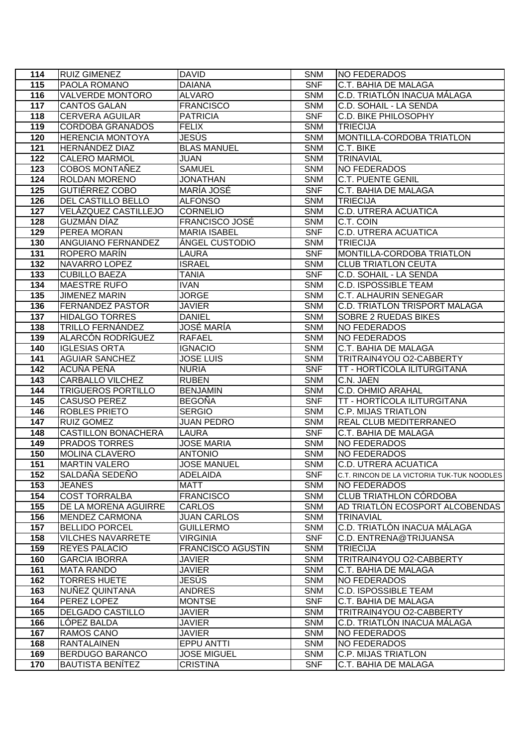| 114              | <b>RUIZ GIMENEZ</b>                           | <b>DAVID</b>                    | <b>SNM</b>               | NO FEDERADOS                                  |
|------------------|-----------------------------------------------|---------------------------------|--------------------------|-----------------------------------------------|
| 115              | PAOLA ROMANO                                  | <b>DAIANA</b>                   | <b>SNF</b>               | <b>C.T. BAHIA DE MALAGA</b>                   |
| 116              | VALVERDE MONTORO                              | <b>ALVARO</b>                   | <b>SNM</b>               | C.D. TRIATLÓN INACUA MÁLAGA                   |
| 117              | <b>CANTOS GALAN</b>                           | <b>FRANCISCO</b>                | <b>SNM</b>               | C.D. SOHAIL - LA SENDA                        |
| 118              | <b>CERVERA AGUILAR</b>                        | <b>PATRICIA</b>                 | <b>SNF</b>               | <b>C.D. BIKE PHILOSOPHY</b>                   |
| 119              | <b>CORDOBA GRANADOS</b>                       | <b>FELIX</b>                    | <b>SNM</b>               | <b>TRIECIJA</b>                               |
| 120              | <b>HERENCIA MONTOYA</b>                       | JESÚS                           | <b>SNM</b>               | MONTILLA-CORDOBA TRIATLON                     |
| $\overline{121}$ | HERNÁNDEZ DIAZ                                | <b>BLAS MANUEL</b>              | <b>SNM</b>               | C.T. BIKE                                     |
| 122              | <b>CALERO MARMOL</b>                          | <b>JUAN</b>                     | <b>SNM</b>               | <b>TRINAVIAL</b>                              |
| $\overline{123}$ | COBOS MONTAÑEZ                                | <b>SAMUEL</b>                   | <b>SNM</b>               | <b>NO FEDERADOS</b>                           |
| 124              | ROLDAN MORENO                                 | JONATHAN                        | <b>SNM</b>               | <b>C.T. PUENTE GENIL</b>                      |
| 125              | GUTIÉRREZ COBO                                | MARÍA JOSÉ                      | <b>SNF</b>               | C.T. BAHIA DE MALAGA                          |
| 126              | <b>DEL CASTILLO BELLO</b>                     | <b>ALFONSO</b>                  | <b>SNM</b>               | <b>TRIECIJA</b>                               |
| 127              | VELÁZQUEZ CASTILLEJO                          | <b>CORNELIO</b>                 | <b>SNM</b>               | <b>C.D. UTRERA ACUATICA</b>                   |
| 128              | GUZMÁN DÍAZ                                   | FRANCISCO JOSÉ                  | <b>SNM</b>               | C.T. COIN                                     |
| 129              | PEREA MORAN                                   | <b>MARIA ISABEL</b>             | <b>SNF</b>               | <b>C.D. UTRERA ACUATICA</b>                   |
| 130              | <b>ANGUIANO FERNANDEZ</b>                     | ÁNGEL CUSTODIO                  | <b>SNM</b>               | <b>TRIECIJA</b>                               |
| $\overline{1}31$ | ROPERO MARÍN                                  | LAURA                           | <b>SNF</b>               | MONTILLA-CORDOBA TRIATLON                     |
| 132              | NAVARRO LOPEZ                                 | <b>ISRAEL</b>                   | <b>SNM</b>               | <b>CLUB TRIATLON CEUTA</b>                    |
| 133              | <b>CUBILLO BAEZA</b>                          | <b>TANIA</b>                    | <b>SNF</b>               | C.D. SOHAIL - LA SENDA                        |
| 134              | <b>MAESTRE RUFO</b>                           | <b>IVAN</b>                     | <b>SNM</b>               | <b>C.D. ISPOSSIBLE TEAM</b>                   |
| 135              | <b>JIMENEZ MARIN</b>                          | <b>JORGE</b>                    | <b>SNM</b>               | <b>C.T. ALHAURIN SENEGAR</b>                  |
| $\frac{136}{ }$  | <b>FERNANDEZ PASTOR</b>                       | <b>JAVIER</b>                   | <b>SNM</b>               | <b>C.D. TRIATLON TRISPORT MALAGA</b>          |
| 137              | <b>HIDALGO TORRES</b>                         | <b>DANIEL</b>                   | <b>SNM</b>               | <b>SOBRE 2 RUEDAS BIKES</b>                   |
| 138              | <b>TRILLO FERNANDEZ</b>                       | JOSÉ MARÍA                      | <b>SNM</b>               | <b>NO FEDERADOS</b>                           |
| 139              | ALARCÓN RODRÍGUEZ                             | <b>RAFAEL</b>                   | <b>SNM</b>               | NO FEDERADOS                                  |
| 140              | <b>IGLESIAS ORTA</b>                          | <b>IGNACIO</b>                  | <b>SNM</b>               | C.T. BAHIA DE MALAGA                          |
| 141              | <b>AGUIAR SANCHEZ</b>                         | <b>JOSE LUIS</b>                | <b>SNM</b>               | TRITRAIN4YOU O2-CABBERTY                      |
| $\frac{1}{142}$  | ACUÑA PEÑA                                    | <b>NURIA</b>                    | <b>SNF</b>               | TT - HORTÍCOLA ILITURGITANA                   |
| 143              | <b>CARBALLO VILCHEZ</b>                       | <b>RUBEN</b>                    | <b>SNM</b>               | C.N. JAEN                                     |
| 144              | <b>TRIGUEROS PORTILLO</b>                     | <b>BENJAMIN</b>                 | <b>SNM</b>               | <b>C.D. OHMIO ARAHAL</b>                      |
| 145              | <b>CASUSO PEREZ</b>                           | <b>BEGOÑA</b>                   | <b>SNF</b>               | TT - HORTÍCOLA ILITURGITANA                   |
| 146              | <b>ROBLES PRIETO</b>                          | <b>SERGIO</b>                   | <b>SNM</b>               | <b>C.P. MIJAS TRIATLON</b>                    |
| 147              | <b>RUIZ GOMEZ</b>                             | <b>JUAN PEDRO</b>               | <b>SNM</b>               | <b>REAL CLUB MEDITERRANEO</b>                 |
| 148              | <b>CASTILLON BONACHERA</b>                    | <b>LAURA</b>                    | <b>SNF</b>               | <b>C.T. BAHIA DE MALAGA</b>                   |
| 149              | <b>PRADOS TORRES</b>                          | <b>JOSE MARIA</b>               | <b>SNM</b>               | <b>NO FEDERADOS</b>                           |
| 150              | <b>MOLINA CLAVERO</b>                         | <b>ANTONIO</b>                  | <b>SNM</b>               | <b>NO FEDERADOS</b>                           |
| 151              | <b>MARTIN VALERO</b>                          | <b>JOSE MANUEL</b>              | <b>SNM</b>               | <b>IC.D. UTRERA ACUATICA</b>                  |
| 152              | SALDAÑA SEDEÑO                                | ADELAIDA                        | <b>SNF</b>               | C.T. RINCON DE LA VICTORIA TUK-TUK NOODLES    |
| 153<br>154       | <b>JEANES</b><br><b>COST TORRALBA</b>         | <b>MATT</b><br><b>FRANCISCO</b> | <b>SNM</b><br><b>SNM</b> | NO FEDERADOS<br><b>CLUB TRIATHLON CÓRDOBA</b> |
| 155              |                                               | <b>CARLOS</b>                   | <b>SNM</b>               | AD TRIATLÓN ECOSPORT ALCOBENDAS               |
| 156              | DE LA MORENA AGUIRRE<br><b>MENDEZ CARMONA</b> | <b>JUAN CARLOS</b>              | <b>SNM</b>               | <b>TRINAVIAL</b>                              |
| 157              | <b>BELLIDO PORCEL</b>                         | <b>GUILLERMO</b>                | <b>SNM</b>               | C.D. TRIATLÓN INACUA MÁLAGA                   |
| 158              | <b>VILCHES NAVARRETE</b>                      | VIRGINIA                        | <b>SNF</b>               | C.D. ENTRENA@TRIJUANSA                        |
| 159              | <b>REYES PALACIO</b>                          | <b>FRANCISCO AGUSTIN</b>        | <b>SNM</b>               | <b>TRIECIJA</b>                               |
| 160              | <b>GARCIA IBORRA</b>                          | JAVIER                          | <b>SNM</b>               | TRITRAIN4YOU O2-CABBERTY                      |
| 161              | <b>MATA RANDO</b>                             | <b>JAVIER</b>                   | <b>SNM</b>               | C.T. BAHIA DE MALAGA                          |
| 162              | <b>TORRES HUETE</b>                           | JESÚS                           | <b>SNM</b>               | <b>NO FEDERADOS</b>                           |
| 163              | NUÑEZ QUINTANA                                | <b>ANDRES</b>                   | <b>SNM</b>               | <b>C.D. ISPOSSIBLE TEAM</b>                   |
| 164              | PEREZ LOPEZ                                   | <b>MONTSE</b>                   | <b>SNF</b>               | C.T. BAHIA DE MALAGA                          |
| 165              | <b>DELGADO CASTILLO</b>                       | JAVIER                          | <b>SNM</b>               | TRITRAIN4YOU O2-CABBERTY                      |
| 166              | LÓPEZ BALDA                                   | <b>JAVIER</b>                   | <b>SNM</b>               | C.D. TRIATLÓN INACUA MÁLAGA                   |
| 167              | RAMOS CANO                                    | <b>JAVIER</b>                   | <b>SNM</b>               | <b>NO FEDERADOS</b>                           |
| 168              | <b>RANTALAINEN</b>                            | EPPU ANTTI                      | <b>SNM</b>               | <b>NO FEDERADOS</b>                           |
| 169              | <b>BERDUGO BARANCO</b>                        | <b>JOSE MIGUEL</b>              | <b>SNM</b>               | <b>C.P. MIJAS TRIATLON</b>                    |
| 170              | <b>BAUTISTA BENÍTEZ</b>                       | <b>CRISTINA</b>                 | <b>SNF</b>               | C.T. BAHIA DE MALAGA                          |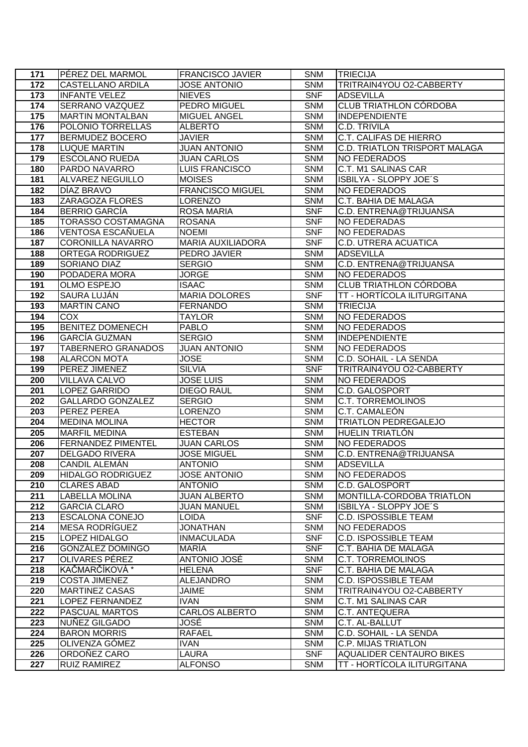| 171              | PÉREZ DEL MARMOL                      | <b>FRANCISCO JAVIER</b>           | <b>SNM</b>               | <b>TRIECIJA</b>                                 |
|------------------|---------------------------------------|-----------------------------------|--------------------------|-------------------------------------------------|
| 172              | <b>CASTELLANO ARDILA</b>              | <b>JOSE ANTONIO</b>               | <b>SNM</b>               | TRITRAIN4YOU O2-CABBERTY                        |
| 173              | <b>INFANTE VELEZ</b>                  | <b>NIEVES</b>                     | <b>SNF</b>               | <b>ADSEVILLA</b>                                |
| $\frac{1}{174}$  | <b>SERRANO VAZQUEZ</b>                | PEDRO MIGUEL                      | <b>SNM</b>               | <b>CLUB TRIATHLON CÓRDOBA</b>                   |
| 175              | <b>MARTIN MONTALBAN</b>               | <b>MIGUEL ANGEL</b>               | <b>SNM</b>               | <b>INDEPENDIENTE</b>                            |
| 176              | POLONIO TORRELLAS                     | <b>ALBERTO</b>                    | <b>SNM</b>               | <b>C.D. TRIVILA</b>                             |
| 177              | <b>BERMUDEZ BOCERO</b>                | <b>JAVIER</b>                     | <b>SNM</b>               | <b>C.T. CALIFAS DE HIERRO</b>                   |
| 178              | <b>LUQUE MARTIN</b>                   | <b>JUAN ANTONIO</b>               | <b>SNM</b>               | <b>C.D. TRIATLON TRISPORT MALAGA</b>            |
| 179              | <b>ESCOLANO RUEDA</b>                 | <b>JUAN CARLOS</b>                | <b>SNM</b>               | <b>NO FEDERADOS</b>                             |
| 180              | PARDO NAVARRO                         | LUIS FRANCISCO                    | <b>SNM</b>               | C.T. M1 SALINAS CAR                             |
| 181              | <b>ALVAREZ NEGUILLO</b>               | <b>MOISES</b>                     | <b>SNM</b>               | ISBILYA - SLOPPY JOE'S                          |
| 182              | DÍAZ BRAVO                            | <b>FRANCISCO MIGUEL</b>           | <b>SNM</b>               | <b>NO FEDERADOS</b>                             |
| 183              | ZARAGOZA FLORES                       | <b>LORENZO</b>                    | <b>SNM</b>               | <b>C.T. BAHIA DE MALAGA</b>                     |
| 184              | <b>BERRIO GARCÍA</b>                  | <b>ROSA MARIA</b>                 | <b>SNF</b>               | C.D. ENTRENA@TRIJUANSA                          |
| 185              | <b>TORASSO COSTAMAGNA</b>             | <b>ROSANA</b>                     | <b>SNF</b>               | <b>NO FEDERADAS</b>                             |
| 186              | VENTOSA ESCAÑUELA                     | <b>NOEMI</b>                      | <b>SNF</b>               | <b>NO FEDERADAS</b>                             |
| 187              | <b>CORONILLA NAVARRO</b>              | <b>MARIA AUXILIADORA</b>          | <b>SNF</b>               | <b>C.D. UTRERA ACUATICA</b>                     |
| 188              | <b>ORTEGA RODRIGUEZ</b>               | PEDRO JAVIER                      | <b>SNM</b>               | <b>ADSEVILLA</b>                                |
| 189              | SORIANO DIAZ                          | <b>SERGIO</b>                     | <b>SNM</b>               | C.D. ENTRENA@TRIJUANSA                          |
| 190              | PODADERA MORA                         | <b>JORGE</b>                      | <b>SNM</b>               | NO FEDERADOS                                    |
| 191              | <b>OLMO ESPEJO</b>                    | <b>ISAAC</b>                      | <b>SNM</b>               | <b>CLUB TRIATHLON CÓRDOBA</b>                   |
| 192              | <b>SAURA LUJÁN</b>                    | <b>MARIA DOLORES</b>              | <b>SNF</b>               | <b>TT - HORTÍCOLA ILITURGITANA</b>              |
| 193              | <b>MARTIN CANO</b>                    | <b>FERNANDO</b>                   | <b>SNM</b>               | <b>TRIECIJA</b>                                 |
| 194              | <b>COX</b>                            | <b>TAYLOR</b>                     | <b>SNM</b>               | NO FEDERADOS                                    |
| 195              | <b>BENITEZ DOMENECH</b>               | <b>PABLO</b>                      | <b>SNM</b>               | <b>NO FEDERADOS</b>                             |
| 196              | <b>GARCÍA GUZMAN</b>                  | <b>SERGIO</b>                     | <b>SNM</b>               | <b>INDEPENDIENTE</b>                            |
| 197              | <b>TABERNERO GRANADOS</b>             | <b>JUAN ANTONIO</b>               | <b>SNM</b>               | NO FEDERADOS                                    |
| 198              | <b>ALARCON MOTA</b>                   | <b>JOSE</b>                       | <b>SNM</b><br><b>SNF</b> | C.D. SOHAIL - LA SENDA                          |
| 199<br>200       | PEREZ JIMENEZ<br><b>VILLAVA CALVO</b> | <b>SILVIA</b><br><b>JOSE LUIS</b> | <b>SNM</b>               | TRITRAIN4YOU O2-CABBERTY<br><b>NO FEDERADOS</b> |
| 201              | <b>LOPEZ GARRIDO</b>                  | <b>DIEGO RAUL</b>                 | <b>SNM</b>               | <b>C.D. GALOSPORT</b>                           |
| 202              | <b>GALLARDO GONZALEZ</b>              | <b>SERGIO</b>                     | <b>SNM</b>               | <b>C.T. TORREMOLINOS</b>                        |
| 203              | <b>PEREZ PEREA</b>                    | LORENZO                           | <b>SNM</b>               | C.T. CAMALEÓN                                   |
| $\overline{204}$ | <b>MEDINA MOLINA</b>                  | <b>HECTOR</b>                     | <b>SNM</b>               | <b>TRIATLON PEDREGALEJO</b>                     |
| 205              | <b>MARFIL MEDINA</b>                  | <b>ESTEBAN</b>                    | <b>SNM</b>               | <b>HUELIN TRIATLÓN</b>                          |
| 206              | <b>FERNANDEZ PIMENTEL</b>             | <b>JUAN CARLOS</b>                | <b>SNM</b>               | <b>NO FEDERADOS</b>                             |
| 207              | <b>DELGADO RIVERA</b>                 | <b>JOSE MIGUEL</b>                | <b>SNM</b>               | C.D. ENTRENA@TRIJUANSA                          |
| 208              | <b>CANDIL ALEMAN</b>                  | <b>ANTONIO</b>                    | <b>SNM</b>               | <b>ADSEVILLA</b>                                |
| 209              | <b>HIDALGO RODRIGUEZ</b>              | <b>JOSE ANTONIO</b>               | <b>SNM</b>               | NO FEDERADOS                                    |
| 210              | <b>CLARES ABAD</b>                    | <b>ANTONIO</b>                    | <b>SNM</b>               | <b>C.D. GALOSPORT</b>                           |
| 211              | <b>LABELLA MOLINA</b>                 | <b>JUAN ALBERTO</b>               | <b>SNM</b>               | MONTILLA-CORDOBA TRIATLON                       |
| 212              | <b>GARCIA CLARO</b>                   | <b>JUAN MANUEL</b>                | <b>SNM</b>               | ISBILYA - SLOPPY JOE'S                          |
| 213              | <b>ESCALONA CONEJO</b>                | LOIDA                             | <b>SNF</b>               | <b>C.D. ISPOSSIBLE TEAM</b>                     |
| 214              | <b>MESA RODRIGUEZ</b>                 | JONATHAN                          | <b>SNM</b>               | <b>NO FEDERADOS</b>                             |
| 215              | LOPEZ HIDALGO                         | <b>INMACULADA</b>                 | <b>SNF</b>               | <b>C.D. ISPOSSIBLE TEAM</b>                     |
| 216              | GONZÁLEZ DOMINGO                      | MARÍA                             | <b>SNF</b>               | C.T. BAHIA DE MALAGA                            |
| 217              | OLIVARES PÉREZ                        | ANTONIO JOSÉ                      | <b>SNM</b>               | C.T. TORREMOLINOS                               |
| 218              | KAČMARČÍKOVÁ *                        | <b>HELENA</b>                     | <b>SNF</b>               | C.T. BAHIA DE MALAGA                            |
| 219              | <b>COSTA JIMENEZ</b>                  | <b>ALEJANDRO</b>                  | <b>SNM</b>               | C.D. ISPOSSIBLE TEAM                            |
| 220              | <b>MARTINEZ CASAS</b>                 | JAIME                             | <b>SNM</b>               | TRITRAIN4YOU O2-CABBERTY                        |
| 221              | LOPEZ FERNANDEZ                       | <b>IVAN</b>                       | <b>SNM</b>               | C.T. M1 SALINAS CAR                             |
| 222<br>223       | PASCUAL MARTOS<br>NUÑEZ GILGADO       | CARLOS ALBERTO                    | <b>SNM</b>               | <b>C.T. ANTEQUERA</b>                           |
| 224              | <b>BARON MORRIS</b>                   | JOSÉ<br><b>RAFAEL</b>             | <b>SNM</b><br><b>SNM</b> | C.T. AL-BALLUT<br>C.D. SOHAIL - LA SENDA        |
| $\overline{225}$ | OLIVENZA GÓMEZ                        | <b>IVAN</b>                       | <b>SNM</b>               | <b>C.P. MIJAS TRIATLON</b>                      |
| 226              | ORDOÑEZ CARO                          | LAURA                             | <b>SNF</b>               | <b>AQUALIDER CENTAURO BIKES</b>                 |
| 227              | <b>RUIZ RAMIREZ</b>                   | <b>ALFONSO</b>                    | <b>SNM</b>               | TT - HORTÍCOLA ILITURGITANA                     |
|                  |                                       |                                   |                          |                                                 |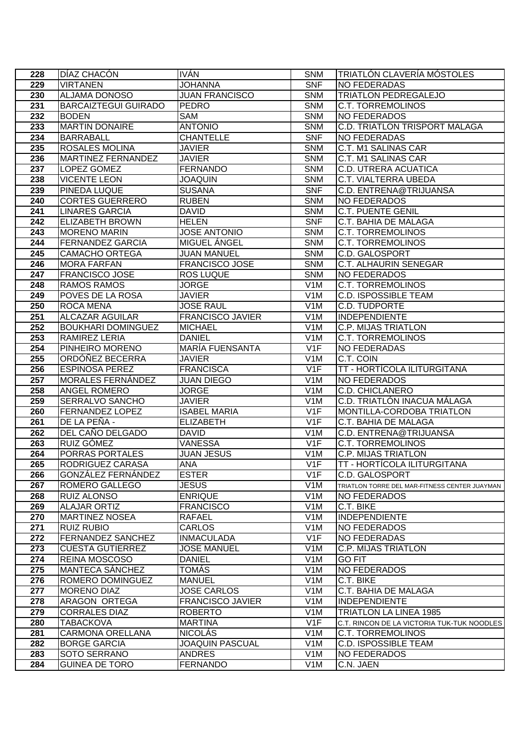| 228              | DÍAZ CHACÓN                                      | <b>IVÁN</b>                              | <b>SNM</b>                           | TRIATLÓN CLAVERÍA MÓSTOLES                               |
|------------------|--------------------------------------------------|------------------------------------------|--------------------------------------|----------------------------------------------------------|
| 229              | <b>VIRTANEN</b>                                  | <b>JOHANNA</b>                           | <b>SNF</b>                           | <b>NO FEDERADAS</b>                                      |
| 230              | <b>ALJAMA DONOSO</b>                             | <b>JUAN FRANCISCO</b>                    | <b>SNM</b>                           | <b>TRIATLON PEDREGALEJO</b>                              |
| 231              | <b>BARCAIZTEGUI GUIRADO</b>                      | <b>PEDRO</b>                             | <b>SNM</b>                           | <b>C.T. TORREMOLINOS</b>                                 |
| 232              | <b>BODEN</b>                                     | SAM                                      | <b>SNM</b>                           | <b>NO FEDERADOS</b>                                      |
| 233              | <b>MARTIN DONAIRE</b>                            | <b>ANTONIO</b>                           | <b>SNM</b>                           | <b>C.D. TRIATLON TRISPORT MALAGA</b>                     |
| 234              | <b>BARRABALL</b>                                 | <b>CHANTELLE</b>                         | <b>SNF</b>                           | <b>NO FEDERADAS</b>                                      |
| 235              | <b>ROSALES MOLINA</b>                            | <b>JAVIER</b>                            | <b>SNM</b>                           | <b>C.T. M1 SALINAS CAR</b>                               |
| 236              | <b>MARTINEZ FERNANDEZ</b>                        | <b>JAVIER</b>                            | <b>SNM</b>                           | <b>C.T. M1 SALINAS CAR</b>                               |
| $\overline{237}$ | LOPEZ GOMEZ                                      | <b>FERNANDO</b>                          | <b>SNM</b>                           | <b>C.D. UTRERA ACUATICA</b>                              |
| 238              | <b>VICENTE LEON</b>                              | <b>JOAQUIN</b>                           | <b>SNM</b>                           | <b>C.T. VIALTERRA UBEDA</b>                              |
| 239              | <b>PINEDA LUQUE</b>                              | <b>SUSANA</b>                            | <b>SNF</b>                           | C.D. ENTRENA@TRIJUANSA                                   |
| 240              | <b>CORTES GUERRERO</b>                           | <b>RUBEN</b>                             | <b>SNM</b>                           | <b>NO FEDERADOS</b>                                      |
| 241              | <b>LINARES GARCIA</b>                            | <b>DAVID</b>                             | <b>SNM</b>                           | <b>C.T. PUENTE GENIL</b>                                 |
| 242              | <b>ELIZABETH BROWN</b>                           | <b>HELEN</b>                             | <b>SNF</b>                           | C.T. BAHIA DE MALAGA                                     |
| $\overline{243}$ | <b>MORENO MARIN</b>                              | <b>JOSE ANTONIO</b>                      | <b>SNM</b>                           | <b>C.T. TORREMOLINOS</b>                                 |
| 244              | <b>FERNANDEZ GARCIA</b>                          | MIGUEL ÁNGEL                             | <b>SNM</b>                           | <b>C.T. TORREMOLINOS</b>                                 |
| 245              | <b>CAMACHO ORTEGA</b>                            | <b>JUAN MANUEL</b>                       | <b>SNM</b>                           | <b>C.D. GALOSPORT</b>                                    |
| 246              | <b>MORA FARFAN</b>                               | <b>FRANCISCO JOSE</b>                    | <b>SNM</b>                           | <b>C.T. ALHAURIN SENEGAR</b>                             |
| 247              | <b>FRANCISCO JOSE</b>                            | <b>ROS LUQUE</b>                         | <b>SNM</b>                           | NO FEDERADOS                                             |
| 248              | <b>RAMOS RAMOS</b>                               | <b>JORGE</b>                             | V <sub>1</sub> M                     | <b>C.T. TORREMOLINOS</b>                                 |
| 249              | POVES DE LA ROSA                                 | <b>JAVIER</b>                            | V <sub>1</sub> M                     | <b>C.D. ISPOSSIBLE TEAM</b>                              |
| 250              | <b>ROCA MENA</b>                                 | <b>JOSE RAUL</b>                         | V1M                                  | <b>C.D. TUDPORTE</b>                                     |
| 251              | <b>ALCAZAR AGUILAR</b>                           | <b>FRANCISCO JAVIER</b>                  | V <sub>1</sub> M                     | INDEPENDIENTE                                            |
| 252              | <b>BOUKHARI DOMINGUEZ</b>                        | <b>MICHAEL</b>                           | V <sub>1</sub> M                     | <b>C.P. MIJAS TRIATLON</b>                               |
| 253              | RAMIREZ LERIA                                    | <b>DANIEL</b>                            | V <sub>1</sub> M                     | <b>C.T. TORREMOLINOS</b>                                 |
| 254              | PINHEIRO MORENO                                  | <b>MARÍA FUENSANTA</b>                   | V1F                                  | <b>NO FEDERADAS</b>                                      |
| 255              | ORDÓÑEZ BECERRA                                  | <b>JAVIER</b>                            | V <sub>1</sub> M                     | C.T. COIN                                                |
| 256              | <b>ESPINOSA PEREZ</b>                            | <b>FRANCISCA</b>                         | V1F                                  | <b>TT - HORTÍCOLA ILITURGITANA</b>                       |
| 257              | <b>MORALES FERNÁNDEZ</b>                         | <b>JUAN DIEGO</b>                        | V <sub>1</sub> M                     | <b>NO FEDERADOS</b>                                      |
| 258              | <b>ANGEL ROMERO</b>                              | <b>JORGE</b>                             | V <sub>1</sub> M                     | <b>C.D. CHICLANERO</b>                                   |
| 259<br>260       | <b>SERRALVO SANCHO</b><br><b>FERNANDEZ LOPEZ</b> | <b>JAVIER</b><br><b>ISABEL MARIA</b>     | V <sub>1</sub> M<br>V1F              | C.D. TRIATLÓN INACUA MÁLAGA<br>MONTILLA-CORDOBA TRIATLON |
| 261              | DE LA PEÑA -                                     | <b>ELIZABETH</b>                         | V1F                                  | <b>C.T. BAHIA DE MALAGA</b>                              |
| 262              | DEL CAÑO DELGADO                                 | <b>DAVID</b>                             | V <sub>1</sub> M                     | C.D. ENTRENA@TRIJUANSA                                   |
| 263              | RUIZ GÓMEZ                                       | <b>VANESSA</b>                           | V <sub>1</sub> F                     | <b>C.T. TORREMOLINOS</b>                                 |
| 264              | PORRAS PORTALES                                  | <b>JUAN JESUS</b>                        | V <sub>1</sub> M                     | <b>C.P. MIJAS TRIATLON</b>                               |
| 265              | <b>RODRIGUEZ CARASA</b>                          | <b>ANA</b>                               | V1F                                  | <b>ITT - HORTÍCOLA ILITURGITANA</b>                      |
| 266              | GONZÁLEZ FERNÁNDEZ                               | <b>ESTER</b>                             | V <sub>1</sub> F                     | <b>C.D. GALOSPORT</b>                                    |
| 267              | ROMERO GALLEGO                                   | <b>JESUS</b>                             | V <sub>1</sub> M                     | TRIATLON TORRE DEL MAR-FITNESS CENTER JUAYMAN            |
| 268              | <b>RUIZ ALONSO</b>                               | <b>ENRIQUE</b>                           | V <sub>1</sub> M                     | <b>NO FEDERADOS</b>                                      |
| 269              | <b>ALAJAR ORTIZ</b>                              | <b>FRANCISCO</b>                         | V <sub>1</sub> M                     | C.T. BIKE                                                |
| 270              | <b>MARTINEZ NOSEA</b>                            | <b>RAFAEL</b>                            | V <sub>1</sub> M                     | <b>INDEPENDIENTE</b>                                     |
| 271              | <b>RUIZ RUBIO</b>                                | <b>CARLOS</b>                            | V <sub>1</sub> M                     | <b>NO FEDERADOS</b>                                      |
| 272              | <b>FERNANDEZ SANCHEZ</b>                         | <b>INMACULADA</b>                        | V <sub>1</sub> F                     | <b>NO FEDERADAS</b>                                      |
| 273              | <b>CUESTA GUTIERREZ</b>                          | <b>JOSE MANUEL</b>                       | V <sub>1</sub> M                     | <b>C.P. MIJAS TRIATLON</b>                               |
| 274              | <b>REINA MOSCOSO</b>                             | <b>DANIEL</b>                            | V <sub>1</sub> M                     | <b>GO FIT</b>                                            |
| 275              | <b>MANTECA SÁNCHEZ</b>                           | <b>TOMÁS</b>                             | V <sub>1</sub> M                     | <b>NO FEDERADOS</b>                                      |
| 276              | ROMERO DOMINGUEZ                                 | <b>MANUEL</b>                            | V <sub>1</sub> M                     | C.T. BIKE                                                |
| 277              | <b>MORENO DIAZ</b>                               | <b>JOSE CARLOS</b>                       | V <sub>1</sub> M                     | C.T. BAHIA DE MALAGA                                     |
| 278              | ARAGON ORTEGA                                    | <b>FRANCISCO JAVIER</b>                  | V <sub>1</sub> M                     | <b>INDEPENDIENTE</b>                                     |
| 279              | <b>CORRALES DIAZ</b>                             | <b>ROBERTO</b>                           | V <sub>1</sub> M                     | <b>TRIATLON LA LINEA 1985</b>                            |
| 280              | <b>TABACKOVA</b>                                 | <b>MARTINA</b>                           | V <sub>1</sub> F                     | C.T. RINCON DE LA VICTORIA TUK-TUK NOODLES               |
| 281<br>282       | <b>CARMONA ORELLANA</b>                          | <b>NICOLÁS</b><br><b>JOAQUIN PASCUAL</b> | V <sub>1</sub> M                     | <b>C.T. TORREMOLINOS</b>                                 |
| 283              | <b>BORGE GARCIA</b><br>SOTO SERRANO              | <b>ANDRES</b>                            | V <sub>1</sub> M<br>V <sub>1</sub> M | <b>C.D. ISPOSSIBLE TEAM</b><br><b>NO FEDERADOS</b>       |
| 284              | <b>GUINEA DE TORO</b>                            | <b>FERNANDO</b>                          | V <sub>1</sub> M                     | C.N. JAEN                                                |
|                  |                                                  |                                          |                                      |                                                          |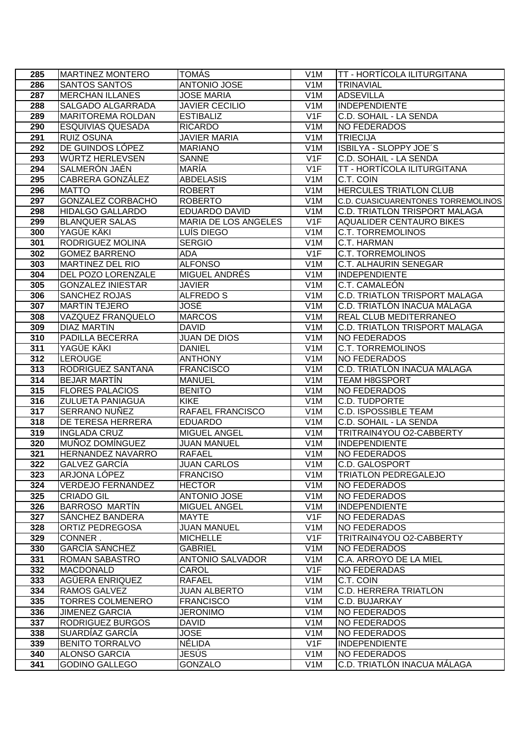| 285        | <b>MARTINEZ MONTERO</b>                  | <b>TOMÁS</b>                    | V <sub>1</sub> M                     | TT - HORTÍCOLA ILITURGITANA                         |
|------------|------------------------------------------|---------------------------------|--------------------------------------|-----------------------------------------------------|
| 286        | <b>SANTOS SANTOS</b>                     | <b>ANTONIO JOSE</b>             | V <sub>1</sub> M                     | <b>TRINAVIAL</b>                                    |
| 287        | <b>MERCHAN ILLANES</b>                   | <b>JOSE MARIA</b>               | V1M                                  | <b>ADSEVILLA</b>                                    |
| 288        | SALGADO ALGARRADA                        | <b>JAVIER CECILIO</b>           | V <sub>1</sub> M                     | <b>INDEPENDIENTE</b>                                |
| 289        | <b>MARITOREMA ROLDAN</b>                 | <b>ESTIBALIZ</b>                | V1F                                  | C.D. SOHAIL - LA SENDA                              |
| 290        | <b>ESQUIVIAS QUESADA</b>                 | <b>RICARDO</b>                  | V <sub>1</sub> M                     | <b>NO FEDERADOS</b>                                 |
| 291        | <b>RUIZ OSUNA</b>                        | <b>JAVIER MARIA</b>             | V <sub>1</sub> M                     | <b>TRIECIJA</b>                                     |
| 292        | DE GUINDOS LÓPEZ                         | <b>MARIANO</b>                  | V <sub>1</sub> M                     | ISBILYA - SLOPPY JOE'S                              |
| 293        | WÜRTZ HERLEVSEN                          | <b>SANNE</b>                    | V1F                                  | <b>C.D. SOHAIL - LA SENDA</b>                       |
| 294        | <b>SALMERÓN JAÉN</b>                     | <b>MARIA</b>                    | V1F                                  | <b>TT - HORTÍCOLA ILITURGITANA</b>                  |
| 295        | CABRERA GONZÁLEZ                         | <b>ABDELASIS</b>                | V <sub>1</sub> M                     | C.T. COIN                                           |
| 296        | <b>MATTO</b>                             | <b>ROBERT</b>                   | V <sub>1</sub> M                     | <b>HERCULES TRIATLON CLUB</b>                       |
| 297        | <b>GONZALEZ CORBACHO</b>                 | <b>ROBERTO</b>                  | V1M                                  | C.D. CUASICUARENTONES TORREMOLINOS                  |
| 298        | <b>HIDALGO GALLARDO</b>                  | <b>EDUARDO DAVID</b>            | V <sub>1</sub> M                     | <b>C.D. TRIATLON TRISPORT MALAGA</b>                |
| 299        | <b>BLANQUER SALAS</b>                    | <b>MARIA DE LOS ANGELES</b>     | V1F                                  | <b>AQUALIDER CENTAURO BIKES</b>                     |
| 300        | YAGÜE KÄKI                               | LUÍS DIEGO                      | V1M                                  | <b>C.T. TORREMOLINOS</b>                            |
| 301        | RODRIGUEZ MOLINA                         | <b>SERGIO</b>                   | V <sub>1</sub> M                     | C.T. HARMAN                                         |
| 302        | <b>GOMEZ BARRENO</b>                     | ADA                             | V1F                                  | <b>C.T. TORREMOLINOS</b>                            |
| 303        | <b>MARTINEZ DEL RIO</b>                  | <b>ALFONSO</b>                  | V <sub>1</sub> M                     | <b>C.T. ALHAURIN SENEGAR</b>                        |
| 304        | <b>DEL POZO LORENZALE</b>                | MIGUEL ANDRÉS                   | V <sub>1</sub> M                     | <b>INDEPENDIENTE</b>                                |
| 305        | <b>GONZALEZ INIESTAR</b>                 | <b>JAVIER</b>                   | V <sub>1</sub> M                     | C.T. CAMALEÓN                                       |
| 306        | <b>SANCHEZ ROJAS</b>                     | ALFREDO S                       | V <sub>1</sub> M                     | <b>C.D. TRIATLON TRISPORT MALAGA</b>                |
| 307        | <b>MARTIN TEJERO</b>                     | <b>JOSÉ</b>                     | V1M                                  | C.D. TRIATLÓN INACUA MÁLAGA                         |
| 308        | VAZQUEZ FRANQUELO                        | <b>MARCOS</b>                   | V <sub>1</sub> M                     | <b>REAL CLUB MEDITERRANEO</b>                       |
| 309        | <b>DIAZ MARTIN</b>                       | <b>DAVID</b>                    | V <sub>1</sub> M                     | <b>C.D. TRIATLON TRISPORT MALAGA</b>                |
| 310        | PADILLA BECERRA                          | <b>JUAN DE DIOS</b>             | V1M                                  | NO FEDERADOS                                        |
| 311        | YAGÜE KÄKI                               | <b>DANIEL</b>                   | V <sub>1</sub> M                     | <b>C.T. TORREMOLINOS</b>                            |
| 312        | LEROUGE                                  | <b>ANTHONY</b>                  | V <sub>1</sub> M                     | NO FEDERADOS                                        |
| 313        | RODRIGUEZ SANTANA                        | <b>FRANCISCO</b>                | V <sub>1</sub> M                     | C.D. TRIATLÓN INACUA MÁLAGA                         |
| 314        | <b>BEJAR MARTIN</b>                      | <b>MANUEL</b>                   | V <sub>1</sub> M                     | <b>TEAM H8GSPORT</b>                                |
| 315        | <b>FLORES PALACIOS</b>                   | <b>BENITO</b>                   | V <sub>1</sub> M                     | <b>NO FEDERADOS</b>                                 |
| 316<br>317 | <b>ZULUETA PANIAGUA</b><br>SERRANO NUÑEZ | <b>KIKE</b><br>RAFAEL FRANCISCO | V <sub>1</sub> M<br>V <sub>1</sub> M | <b>C.D. TUDPORTE</b><br><b>C.D. ISPOSSIBLE TEAM</b> |
| 318        | <b>DE TERESA HERRERA</b>                 | <b>EDUARDO</b>                  | V <sub>1</sub> M                     | C.D. SOHAIL - LA SENDA                              |
| 319        | <b>INGLADA CRUZ</b>                      | MIGUEL ANGEL                    | V <sub>1</sub> M                     | TRITRAIN4YOU O2-CABBERTY                            |
| 320        | MUÑOZ DOMÍNGUEZ                          | <b>JUAN MANUEL</b>              | V <sub>1</sub> M                     | <b>INDEPENDIENTE</b>                                |
| 321        | HERNANDEZ NAVARRO                        | <b>RAFAEL</b>                   | V <sub>1</sub> M                     | <b>NO FEDERADOS</b>                                 |
| 322        | <b>GALVEZ GARCÍA</b>                     | <b>JUAN CARLOS</b>              | V <sub>1</sub> M                     | C.D. GALOSPORT                                      |
| 323        | ARJONA LÓPEZ                             | <b>FRANCISO</b>                 | V <sub>1</sub> M                     | <b>TRIATLON PEDREGALEJO</b>                         |
| 324        | <b>VERDEJO FERNANDEZ</b>                 | <b>HECTOR</b>                   | V <sub>1</sub> M                     | <b>NO FEDERADOS</b>                                 |
| 325        | <b>CRIADO GIL</b>                        | <b>ANTONIO JOSE</b>             | V <sub>1</sub> M                     | <b>NO FEDERADOS</b>                                 |
| 326        | <b>BARROSO MARTÍN</b>                    | MIGUEL ANGEL                    | V <sub>1</sub> M                     | <b>INDEPENDIENTE</b>                                |
| 327        | SANCHEZ BANDERA                          | MAYTE                           | V1F                                  | <b>NO FEDERADAS</b>                                 |
| 328        | ORTIZ PEDREGOSA                          | <b>JUAN MANUEL</b>              | V <sub>1</sub> M                     | <b>NO FEDERADOS</b>                                 |
| 329        | CONNER.                                  | <b>MICHELLE</b>                 | V1F                                  | TRITRAIN4YOU O2-CABBERTY                            |
| 330        | <b>GARCÍA SÁNCHEZ</b>                    | GABRIEL                         | V <sub>1</sub> M                     | <b>NO FEDERADOS</b>                                 |
| 331        | ROMAN SABASTRO                           | ANTONIO SALVADOR                | V <sub>1</sub> M                     | C.A. ARROYO DE LA MIEL                              |
| 332        | <b>MACDONALD</b>                         | CAROL                           | V <sub>1</sub> F                     | <b>NO FEDERADAS</b>                                 |
| 333        | AGÜERA ENRIQUEZ                          | RAFAEL                          | V <sub>1</sub> M                     | C.T. COIN                                           |
| 334        | RAMOS GALVEZ                             | <b>JUAN ALBERTO</b>             | V <sub>1</sub> M                     | <b>C.D. HERRERA TRIATLON</b>                        |
| 335        | <b>TORRES COLMENERO</b>                  | <b>FRANCISCO</b>                | V <sub>1</sub> M                     | C.D. BUJARKAY                                       |
| 336        | <b>JIMENEZ GARCIA</b>                    | JERONIMO                        | V <sub>1</sub> M                     | <b>NO FEDERADOS</b>                                 |
| 337        | RODRIGUEZ BURGOS                         | DAVID                           | V <sub>1</sub> M                     | <b>NO FEDERADOS</b>                                 |
| 338        | SUARDÍAZ GARCÍA                          | JOSE                            | V <sub>1</sub> M                     | <b>NO FEDERADOS</b>                                 |
| 339        | <b>BENITO TORRALVO</b>                   | NÉLIDA                          | V1F                                  | <b>INDEPENDIENTE</b>                                |
| 340        | <b>ALONSO GARCIA</b>                     | JESÚS                           | V <sub>1</sub> M                     | <b>NO FEDERADOS</b>                                 |
| 341        | <b>GODINO GALLEGO</b>                    | <b>GONZALO</b>                  | V <sub>1</sub> M                     | C.D. TRIATLÓN INACUA MÁLAGA                         |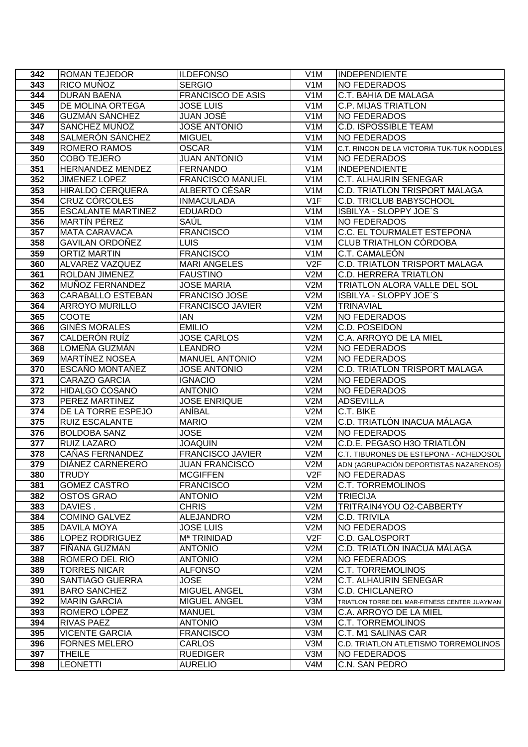| 342        | <b>ROMAN TEJEDOR</b>                 | <b>ILDEFONSO</b>              | V <sub>1</sub> M        | <b>INDEPENDIENTE</b>                          |
|------------|--------------------------------------|-------------------------------|-------------------------|-----------------------------------------------|
| 343        | RICO MUÑOZ                           | <b>SERGIO</b>                 | V <sub>1</sub> M        | <b>NO FEDERADOS</b>                           |
| 344        | <b>DURAN BAENA</b>                   | <b>FRANCISCO DE ASIS</b>      | V1M                     | C.T. BAHIA DE MALAGA                          |
| 345        | DE MOLINA ORTEGA                     | <b>JOSE LUIS</b>              | V1M                     | <b>C.P. MIJAS TRIATLON</b>                    |
| 346        | <b>GUZMÁN SÁNCHEZ</b>                | JUAN JOSÉ                     | V <sub>1</sub> M        | <b>NO FEDERADOS</b>                           |
| 347        | SANCHEZ MUÑOZ                        | <b>JOSE ANTONIO</b>           | V1M                     | <b>C.D. ISPOSSIBLE TEAM</b>                   |
| 348        | SALMERÓN SÁNCHEZ                     | <b>MIGUEL</b>                 | V <sub>1</sub> M        | <b>NO FEDERADOS</b>                           |
| 349        | <b>ROMERO RAMOS</b>                  | <b>OSCAR</b>                  | V <sub>1</sub> M        | C.T. RINCON DE LA VICTORIA TUK-TUK NOODLES    |
| 350        | <b>COBO TEJERO</b>                   | <b>JUAN ANTONIO</b>           | V <sub>1</sub> M        | <b>NO FEDERADOS</b>                           |
| 351        | HERNANDEZ MENDEZ                     | <b>FERNANDO</b>               | V1M                     | <b>INDEPENDIENTE</b>                          |
| 352        | <b>JIMENEZ LOPEZ</b>                 | <b>FRANCISCO MANUEL</b>       | V <sub>1</sub> M        | C.T. ALHAURIN SENEGAR                         |
| 353        | <b>HIRALDO CERQUERA</b>              | ALBERTO CÉSAR                 | V <sub>1</sub> M        | <b>C.D. TRIATLON TRISPORT MALAGA</b>          |
| 354        | CRUZ CÓRCOLES                        | <b>INMACULADA</b>             | V1F                     | <b>C.D. TRICLUB BABYSCHOOL</b>                |
| 355        | <b>ESCALANTE MARTINEZ</b>            | <b>EDUARDO</b>                | V <sub>1</sub> M        | ISBILYA - SLOPPY JOE'S                        |
| 356        | <b>MARTÍN PÉREZ</b>                  | SAÚL                          | V <sub>1</sub> M        | <b>NO FEDERADOS</b>                           |
| 357        | <b>MATA CARAVACA</b>                 | <b>FRANCISCO</b>              | V1M                     | <b>C.C. EL TOURMALET ESTEPONA</b>             |
| 358        | <b>GAVILAN ORDOÑEZ</b>               | LUIS                          | V <sub>1</sub> M        | <b>CLUB TRIATHLON CÓRDOBA</b>                 |
| 359        | <b>ORTIZ MARTIN</b>                  | <b>FRANCISCO</b>              | V <sub>1</sub> M        | C.T. CAMALEÓN                                 |
| 360        | ALVAREZ VAZQUEZ                      | <b>MARI ANGELES</b>           | V2F                     | <b>C.D. TRIATLON TRISPORT MALAGA</b>          |
| 361        | <b>ROLDAN JIMENEZ</b>                | <b>FAUSTINO</b>               | V2M                     | <b>C.D. HERRERA TRIATLON</b>                  |
| 362        | MUÑOZ FERNANDEZ                      | <b>JOSE MARIA</b>             | V2M                     | TRIATLON ALORA VALLE DEL SOL                  |
| 363        | <b>CARABALLO ESTEBAN</b>             | <b>FRANCISO JOSE</b>          | V2M                     | ISBILYA - SLOPPY JOE'S                        |
| 364        | <b>ARROYO MURILLO</b>                | <b>FRANCISCO JAVIER</b>       | V2M                     | <b>TRINAVIAL</b>                              |
| 365        | <b>COOTE</b>                         | <b>IAN</b>                    | V2M                     | <b>NO FEDERADOS</b>                           |
| 366        | <b>GINÉS MORALES</b>                 | <b>EMILIO</b>                 | V2M                     | C.D. POSEIDON                                 |
| 367        | <b>CALDERÓN RUÍZ</b>                 | <b>JOSE CARLOS</b>            | V2M                     | C.A. ARROYO DE LA MIEL                        |
| 368        | LOMEÑA GUZMÁN                        | <b>LEANDRO</b>                | V2M                     | <b>NO FEDERADOS</b>                           |
| 369        | <b>MARTÍNEZ NOSEA</b>                | <b>MANUEL ANTONIO</b>         | V2M                     | <b>NO FEDERADOS</b>                           |
| 370        | <b>ESCAÑO MONTAÑEZ</b>               | <b>JOSE ANTONIO</b>           | V2M                     | <b>C.D. TRIATLON TRISPORT MALAGA</b>          |
| 371        | CARAZO GARCIA                        | <b>IGNACIO</b>                | V2M                     | <b>NO FEDERADOS</b>                           |
| 372        | <b>HIDALGO COSANO</b>                | <b>ANTONIO</b>                | V2M                     | <b>NO FEDERADOS</b>                           |
| 373<br>374 | PEREZ MARTINEZ<br>DE LA TORRE ESPEJO | <b>JOSE ENRIQUE</b><br>ANÍBAL | V2M<br>V2M              | <b>ADSEVILLA</b><br>C.T. BIKE                 |
| 375        | <b>RUIZ ESCALANTE</b>                | <b>MARIO</b>                  | V2M                     | C.D. TRIATLÓN INACUA MÁLAGA                   |
| 376        | <b>BOLDOBA SANZ</b>                  | <b>JOSE</b>                   | V2M                     | <b>NO FEDERADOS</b>                           |
| 377        | <b>RUIZ LAZARO</b>                   | <b>JOAQUIN</b>                | V2M                     | C.D.E. PEGASO H3O TRIATLÓN                    |
| 378        | CAÑAS FERNANDEZ                      | <b>FRANCISCO JAVIER</b>       | V2M                     | C.T. TIBURONES DE ESTEPONA - ACHEDOSOL        |
| 379        | DIÁNEZ CARNERERO                     | <b>JUAN FRANCISCO</b>         | V2M                     | ADN (AGRUPACIÓN DEPORTISTAS NAZARENOS)        |
| 380        | TRUDY                                | <b>MCGIFFEN</b>               | V <sub>2</sub> F        | <b>NO FEDERADAS</b>                           |
| 381        | <b>GOMEZ CASTRO</b>                  | <b>FRANCISCO</b>              | V2M                     | C.T. TORREMOLINOS                             |
| 382        | OSTOS GRAO                           | <b>ANTONIO</b>                | V2M                     | <b>TRIECIJA</b>                               |
| 383        | DAVIES.                              | <b>CHRIS</b>                  | V2M                     | TRITRAIN4YOU O2-CABBERTY                      |
| 384        | <b>COMINO GALVEZ</b>                 | <b>ALEJANDRO</b>              | V2M                     | C.D. TRIVILA                                  |
| 385        | DAVILA MOYA                          | JOSE LUIS                     | V2M                     | <b>NO FEDERADOS</b>                           |
| 386        | LOPEZ RODRIGUEZ                      | M <sup>a</sup> TRINIDAD       | V2F                     | C.D. GALOSPORT                                |
| 387        | <b>FINANA GUZMAN</b>                 | <b>ANTONIO</b>                | V2M                     | C.D. TRIATLÓN INACUA MÁLAGA                   |
| 388        | ROMERO DEL RIO                       | <b>ANTONIO</b>                | V2M                     | NO FEDERADOS                                  |
| 389        | <b>TORRES NICAR</b>                  | <b>ALFONSO</b>                | V2M                     | C.T. TORREMOLINOS                             |
| 390        | SANTIAGO GUERRA                      | JOSE                          | V2M                     | C.T. ALHAURIN SENEGAR                         |
| 391        | <b>BARO SANCHEZ</b>                  | MIGUEL ANGEL                  | V3M                     | C.D. CHICLANERO                               |
| 392        | <b>MARIN GARCIA</b>                  | <b>MIGUEL ANGEL</b>           | V3M                     | TRIATLON TORRE DEL MAR-FITNESS CENTER JUAYMAN |
| 393        | ROMERO LÓPEZ                         | <b>MANUEL</b>                 | V3M                     | C.A. ARROYO DE LA MIEL                        |
| 394        | RIVAS PAEZ                           | <b>ANTONIO</b>                | V3M                     | C.T. TORREMOLINOS                             |
| 395        | <b>VICENTE GARCIA</b>                | <b>FRANCISCO</b>              | V3M                     | C.T. M1 SALINAS CAR                           |
| 396        | <b>FORNES MELERO</b>                 | CARLOS                        | V3M                     | C.D. TRIATLON ATLETISMO TORREMOLINOS          |
| 397<br>398 | <b>THEILE</b>                        | <b>RUEDIGER</b>               | V3M<br>V <sub>4</sub> M | <b>NO FEDERADOS</b><br>C.N. SAN PEDRO         |
|            | <b>LEONETTI</b>                      | <b>AURELIO</b>                |                         |                                               |